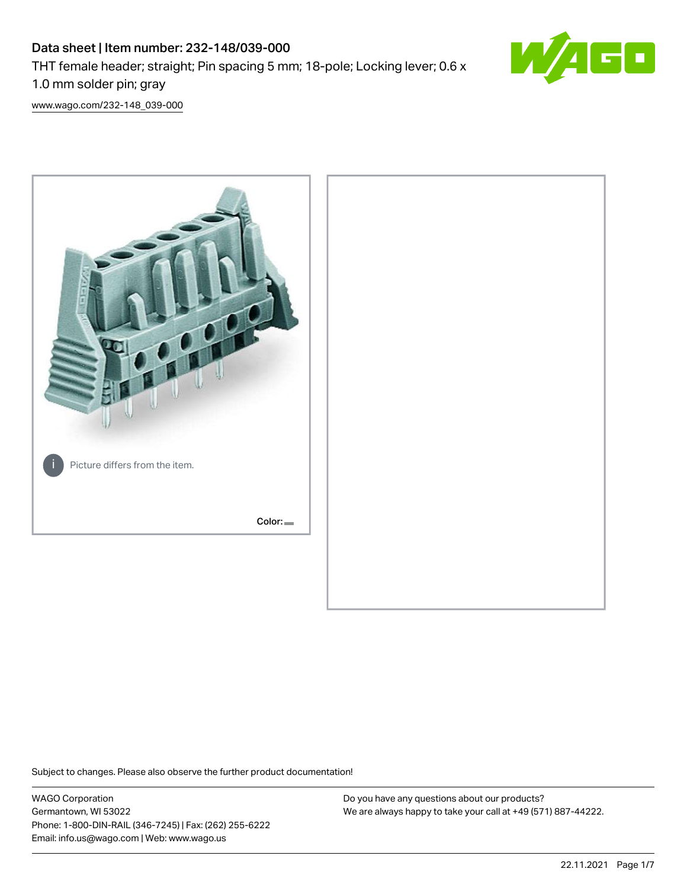# Data sheet | Item number: 232-148/039-000 THT female header; straight; Pin spacing 5 mm; 18-pole; Locking lever; 0.6 x 1.0 mm solder pin; gray



[www.wago.com/232-148\\_039-000](http://www.wago.com/232-148_039-000)



Subject to changes. Please also observe the further product documentation!

WAGO Corporation Germantown, WI 53022 Phone: 1-800-DIN-RAIL (346-7245) | Fax: (262) 255-6222 Email: info.us@wago.com | Web: www.wago.us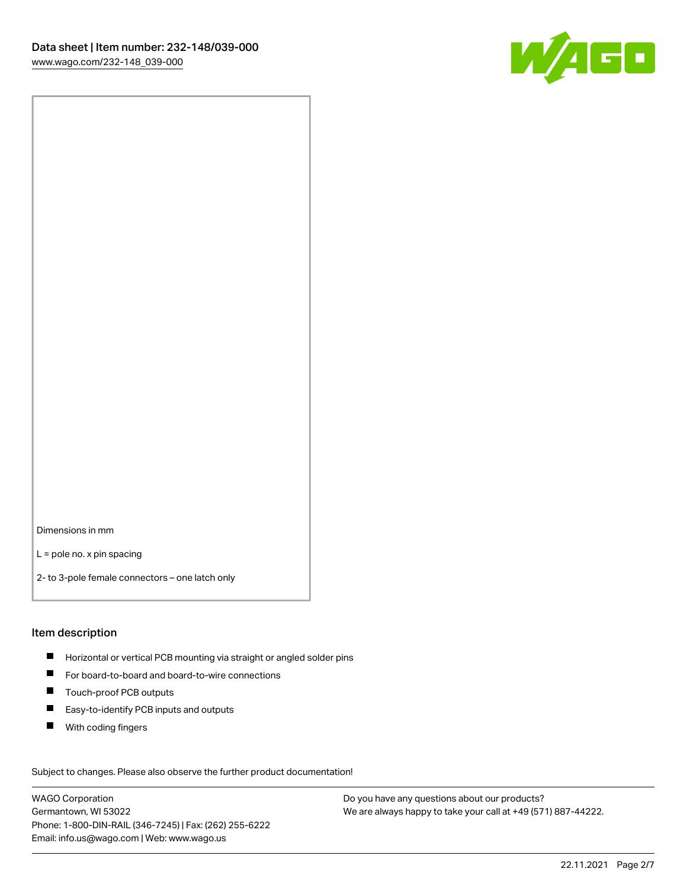

Dimensions in mm

L = pole no. x pin spacing

2- to 3-pole female connectors – one latch only

#### Item description

- **Horizontal or vertical PCB mounting via straight or angled solder pins**
- For board-to-board and board-to-wire connections
- $\blacksquare$ Touch-proof PCB outputs
- $\blacksquare$ Easy-to-identify PCB inputs and outputs
- $\blacksquare$ With coding fingers

Subject to changes. Please also observe the further product documentation! Data

WAGO Corporation Germantown, WI 53022 Phone: 1-800-DIN-RAIL (346-7245) | Fax: (262) 255-6222 Email: info.us@wago.com | Web: www.wago.us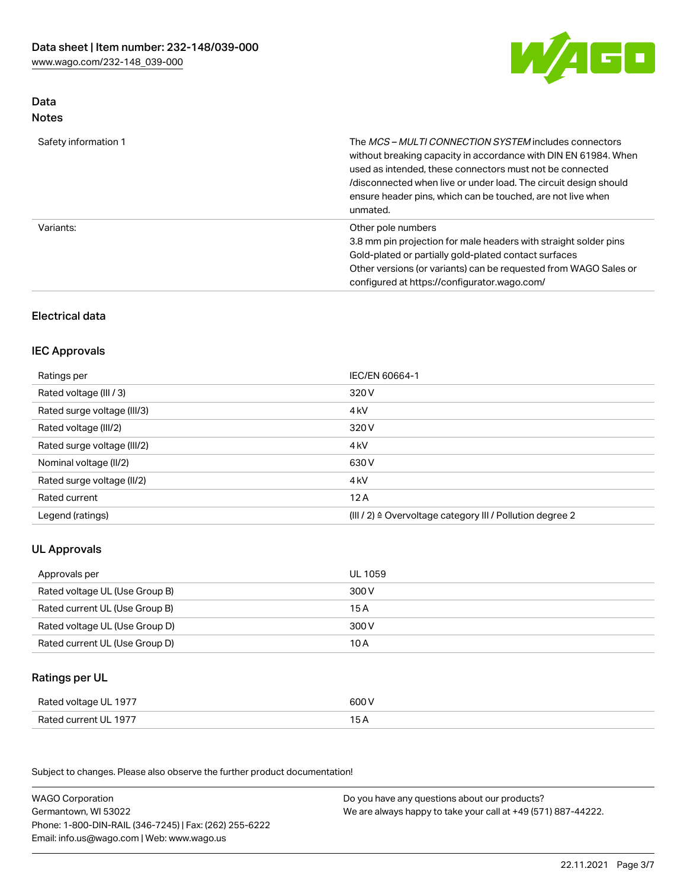

# Data Notes

| Safety information 1 | The MCS-MULTI CONNECTION SYSTEM includes connectors<br>without breaking capacity in accordance with DIN EN 61984. When<br>used as intended, these connectors must not be connected<br>/disconnected when live or under load. The circuit design should<br>ensure header pins, which can be touched, are not live when<br>unmated. |
|----------------------|-----------------------------------------------------------------------------------------------------------------------------------------------------------------------------------------------------------------------------------------------------------------------------------------------------------------------------------|
| Variants:            | Other pole numbers<br>3.8 mm pin projection for male headers with straight solder pins<br>Gold-plated or partially gold-plated contact surfaces<br>Other versions (or variants) can be requested from WAGO Sales or<br>configured at https://configurator.wago.com/                                                               |

# Electrical data

### IEC Approvals

| Ratings per                 | IEC/EN 60664-1                                                        |
|-----------------------------|-----------------------------------------------------------------------|
| Rated voltage (III / 3)     | 320 V                                                                 |
| Rated surge voltage (III/3) | 4 <sub>k</sub> V                                                      |
| Rated voltage (III/2)       | 320 V                                                                 |
| Rated surge voltage (III/2) | 4 <sub>k</sub> V                                                      |
| Nominal voltage (II/2)      | 630 V                                                                 |
| Rated surge voltage (II/2)  | 4 <sub>k</sub> V                                                      |
| Rated current               | 12A                                                                   |
| Legend (ratings)            | $(III / 2)$ $\triangle$ Overvoltage category III / Pollution degree 2 |

# UL Approvals

| Approvals per                  | UL 1059 |
|--------------------------------|---------|
| Rated voltage UL (Use Group B) | 300 V   |
| Rated current UL (Use Group B) | 15 A    |
| Rated voltage UL (Use Group D) | 300 V   |
| Rated current UL (Use Group D) | 10 A    |

# Ratings per UL

| Rated voltage UL 1977 | 600 V |
|-----------------------|-------|
| Rated current UL 1977 |       |

Subject to changes. Please also observe the further product documentation!

| <b>WAGO Corporation</b>                                | Do you have any questions about our products?                 |
|--------------------------------------------------------|---------------------------------------------------------------|
| Germantown, WI 53022                                   | We are always happy to take your call at +49 (571) 887-44222. |
| Phone: 1-800-DIN-RAIL (346-7245)   Fax: (262) 255-6222 |                                                               |
| Email: info.us@wago.com   Web: www.wago.us             |                                                               |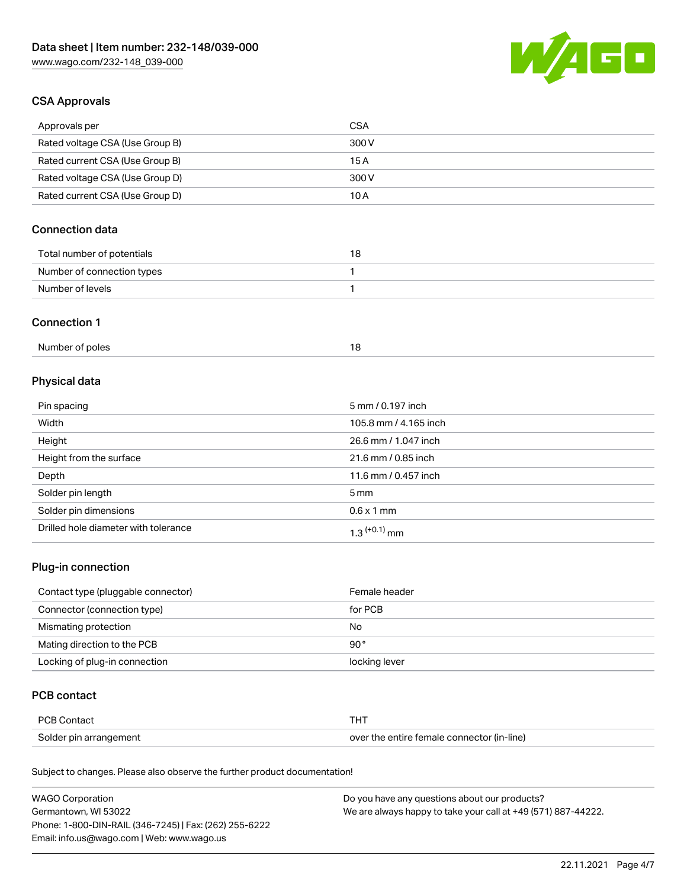

### CSA Approvals

| Approvals per                   | CSA   |
|---------------------------------|-------|
| Rated voltage CSA (Use Group B) | 300 V |
| Rated current CSA (Use Group B) | 15 A  |
| Rated voltage CSA (Use Group D) | 300 V |
| Rated current CSA (Use Group D) | 10 A  |

# Connection data

| Total number of potentials | או |
|----------------------------|----|
| Number of connection types |    |
| Number of levels           |    |

#### Connection 1

# Physical data

| Pin spacing                          | 5 mm / 0.197 inch          |
|--------------------------------------|----------------------------|
| Width                                | 105.8 mm / 4.165 inch      |
| Height                               | 26.6 mm / 1.047 inch       |
| Height from the surface              | 21.6 mm / 0.85 inch        |
| Depth                                | 11.6 mm / 0.457 inch       |
| Solder pin length                    | 5 mm                       |
| Solder pin dimensions                | $0.6 \times 1$ mm          |
| Drilled hole diameter with tolerance | $1.3$ <sup>(+0.1)</sup> mm |

# Plug-in connection

| Contact type (pluggable connector) | Female header |
|------------------------------------|---------------|
| Connector (connection type)        | for PCB       |
| Mismating protection               | No            |
| Mating direction to the PCB        | $90^{\circ}$  |
| Locking of plug-in connection      | locking lever |

### PCB contact

| PCB Contact            |                                            |
|------------------------|--------------------------------------------|
| Solder pin arrangement | over the entire female connector (in-line) |

Subject to changes. Please also observe the further product documentation!

| <b>WAGO Corporation</b>                                | Do you have any questions about our products?                 |
|--------------------------------------------------------|---------------------------------------------------------------|
| Germantown, WI 53022                                   | We are always happy to take your call at +49 (571) 887-44222. |
| Phone: 1-800-DIN-RAIL (346-7245)   Fax: (262) 255-6222 |                                                               |
| Email: info.us@wago.com   Web: www.wago.us             |                                                               |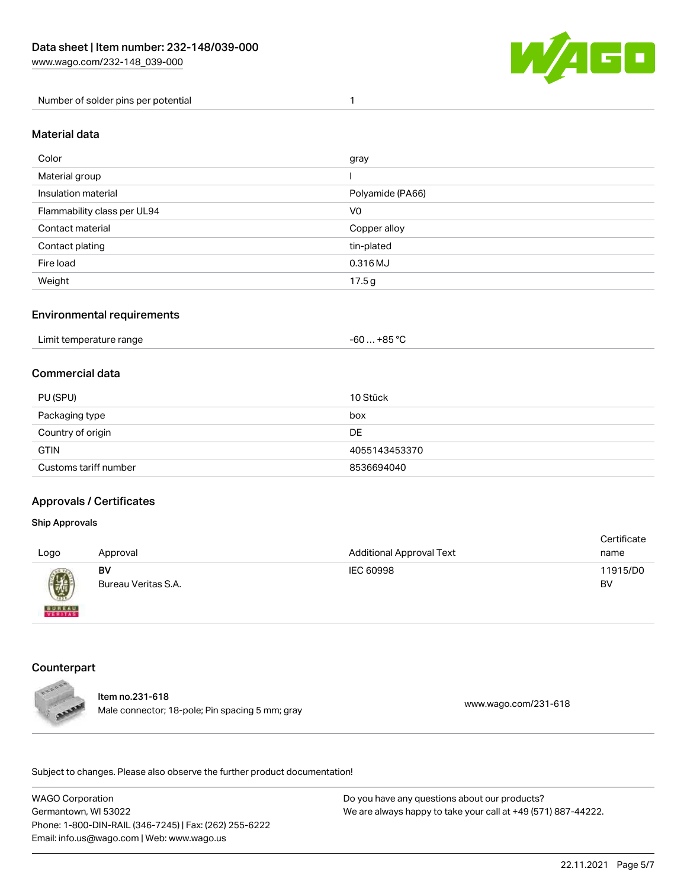

Number of solder pins per potential 1

#### Material data

| Color                       | gray             |
|-----------------------------|------------------|
| Material group              |                  |
| Insulation material         | Polyamide (PA66) |
| Flammability class per UL94 | V <sub>0</sub>   |
| Contact material            | Copper alloy     |
| Contact plating             | tin-plated       |
| Fire load                   | 0.316 MJ         |
| Weight                      | 17.5g            |

#### Environmental requirements

| Limit temperature range | . +85 °Ր<br>-60 |  |
|-------------------------|-----------------|--|
|-------------------------|-----------------|--|

### Commercial data

| PU (SPU)              | 10 Stück      |
|-----------------------|---------------|
| Packaging type        | box           |
| Country of origin     | DE.           |
| <b>GTIN</b>           | 4055143453370 |
| Customs tariff number | 8536694040    |

#### Approvals / Certificates

#### Ship Approvals

| Logo                                                                 | Approval                  | <b>Additional Approval Text</b> | Certificate<br>name |
|----------------------------------------------------------------------|---------------------------|---------------------------------|---------------------|
| $\left(\!\!\left.\begin{array}{c} y\end{array}\!\!\right\!\!\right)$ | BV<br>Bureau Veritas S.A. | IEC 60998                       | 11915/D0<br>BV      |
| <b>BUREAU</b>                                                        |                           |                                 |                     |

# **Counterpart**



Item no.231-618 methods.com/231-618<br>Male connector; 18-pole; Pin spacing 5 mm; gray [www.wago.com/231-618](https://www.wago.com/231-618)

.<br>Subject to changes. Please also observe the further product documentation!

WAGO Corporation Germantown, WI 53022 Phone: 1-800-DIN-RAIL (346-7245) | Fax: (262) 255-6222 Email: info.us@wago.com | Web: www.wago.us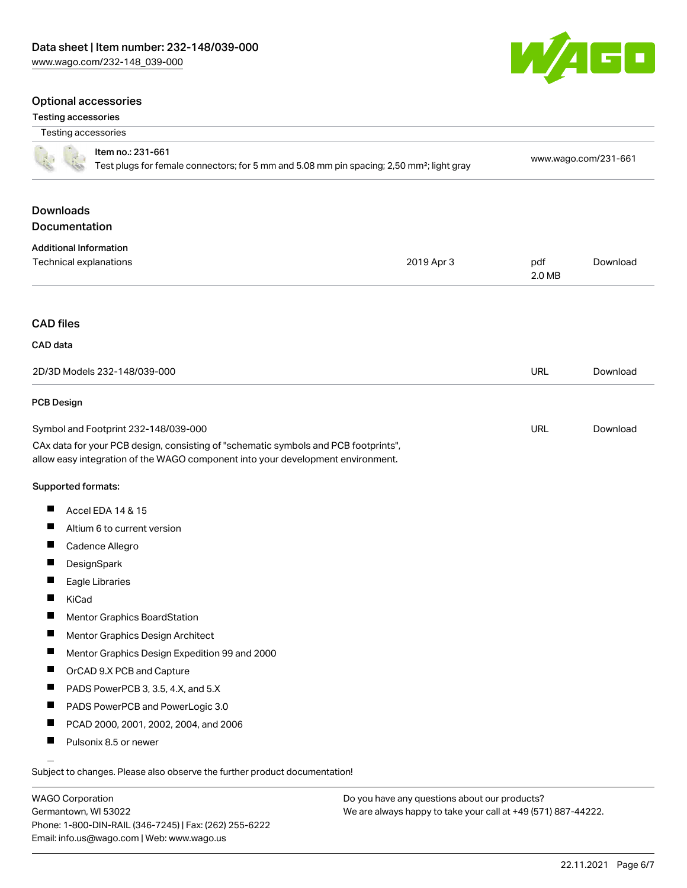#### Optional accessories

#### Testing accessories

| i cating accessories              |                                                                                                                                                                        |            |               |                      |
|-----------------------------------|------------------------------------------------------------------------------------------------------------------------------------------------------------------------|------------|---------------|----------------------|
| Testing accessories               |                                                                                                                                                                        |            |               |                      |
|                                   | Item no.: 231-661<br>Test plugs for female connectors; for 5 mm and 5.08 mm pin spacing; 2,50 mm <sup>2</sup> ; light gray                                             |            |               | www.wago.com/231-661 |
| <b>Downloads</b><br>Documentation |                                                                                                                                                                        |            |               |                      |
| <b>Additional Information</b>     |                                                                                                                                                                        |            |               |                      |
| Technical explanations            |                                                                                                                                                                        | 2019 Apr 3 | pdf<br>2.0 MB | Download             |
| <b>CAD files</b>                  |                                                                                                                                                                        |            |               |                      |
| CAD data                          |                                                                                                                                                                        |            |               |                      |
|                                   |                                                                                                                                                                        |            |               |                      |
|                                   | 2D/3D Models 232-148/039-000                                                                                                                                           |            | <b>URL</b>    | Download             |
| <b>PCB Design</b>                 |                                                                                                                                                                        |            |               |                      |
|                                   | Symbol and Footprint 232-148/039-000                                                                                                                                   |            | URL           | Download             |
|                                   | CAx data for your PCB design, consisting of "schematic symbols and PCB footprints",<br>allow easy integration of the WAGO component into your development environment. |            |               |                      |
| Supported formats:                |                                                                                                                                                                        |            |               |                      |
| ш                                 | Accel EDA 14 & 15                                                                                                                                                      |            |               |                      |
| ш                                 | Altium 6 to current version                                                                                                                                            |            |               |                      |
|                                   | Cadence Allegro                                                                                                                                                        |            |               |                      |
| ш                                 | DesignSpark                                                                                                                                                            |            |               |                      |
| ш                                 | Eagle Libraries                                                                                                                                                        |            |               |                      |
| KiCad                             |                                                                                                                                                                        |            |               |                      |
| ш                                 | Mentor Graphics BoardStation                                                                                                                                           |            |               |                      |
| ш                                 | Mentor Graphics Design Architect                                                                                                                                       |            |               |                      |
| Ш                                 | Mentor Graphics Design Expedition 99 and 2000                                                                                                                          |            |               |                      |
| Ш                                 | OrCAD 9.X PCB and Capture                                                                                                                                              |            |               |                      |
| ш                                 | PADS PowerPCB 3, 3.5, 4.X, and 5.X                                                                                                                                     |            |               |                      |
| ш                                 | PADS PowerPCB and PowerLogic 3.0                                                                                                                                       |            |               |                      |
| ш                                 | PCAD 2000, 2001, 2002, 2004, and 2006                                                                                                                                  |            |               |                      |

 $\blacksquare$ Pulsonix 8.5 or newer

Subject to changes. Please also observe the further product documentation!

WAGO Corporation Germantown, WI 53022 Phone: 1-800-DIN-RAIL (346-7245) | Fax: (262) 255-6222 Email: info.us@wago.com | Web: www.wago.us



| <b>CAD files</b>             |            |      |
|------------------------------|------------|------|
| CAD data                     |            |      |
| 2D/3D Models 232-148/039-000 | <b>URL</b> | Down |
| <b>PCB Design</b>            |            |      |